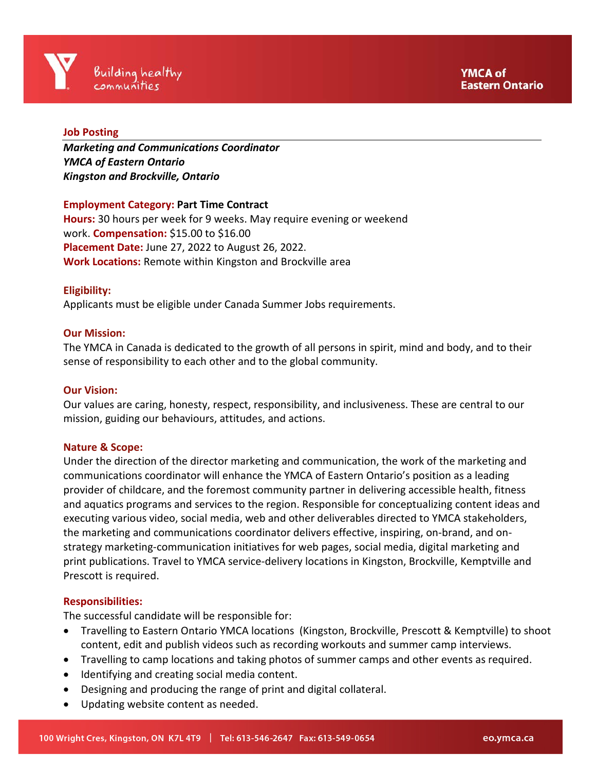## **Job Posting**

*Marketing and Communications Coordinator YMCA of Eastern Ontario Kingston and Brockville, Ontario* 

## **Employment Category: Part Time Contract**

**Hours:** 30 hours per week for 9 weeks. May require evening or weekend work. **Compensation:** \$15.00 to \$16.00 **Placement Date:** June 27, 2022 to August 26, 2022. **Work Locations:** Remote within Kingston and Brockville area

### **Eligibility:**

Applicants must be eligible under Canada Summer Jobs requirements.

### **Our Mission:**

The YMCA in Canada is dedicated to the growth of all persons in spirit, mind and body, and to their sense of responsibility to each other and to the global community.

#### **Our Vision:**

Our values are caring, honesty, respect, responsibility, and inclusiveness. These are central to our mission, guiding our behaviours, attitudes, and actions.

#### **Nature & Scope:**

Under the direction of the director marketing and communication, the work of the marketing and communications coordinator will enhance the YMCA of Eastern Ontario's position as a leading provider of childcare, and the foremost community partner in delivering accessible health, fitness and aquatics programs and services to the region. Responsible for conceptualizing content ideas and executing various video, social media, web and other deliverables directed to YMCA stakeholders, the marketing and communications coordinator delivers effective, inspiring, on-brand, and onstrategy marketing-communication initiatives for web pages, social media, digital marketing and print publications. Travel to YMCA service-delivery locations in Kingston, Brockville, Kemptville and Prescott is required.

#### **Responsibilities:**

The successful candidate will be responsible for:

- Travelling to Eastern Ontario YMCA locations (Kingston, Brockville, Prescott & Kemptville) to shoot content, edit and publish videos such as recording workouts and summer camp interviews.
- Travelling to camp locations and taking photos of summer camps and other events as required.
- Identifying and creating social media content.
- Designing and producing the range of print and digital collateral.
- Updating website content as needed.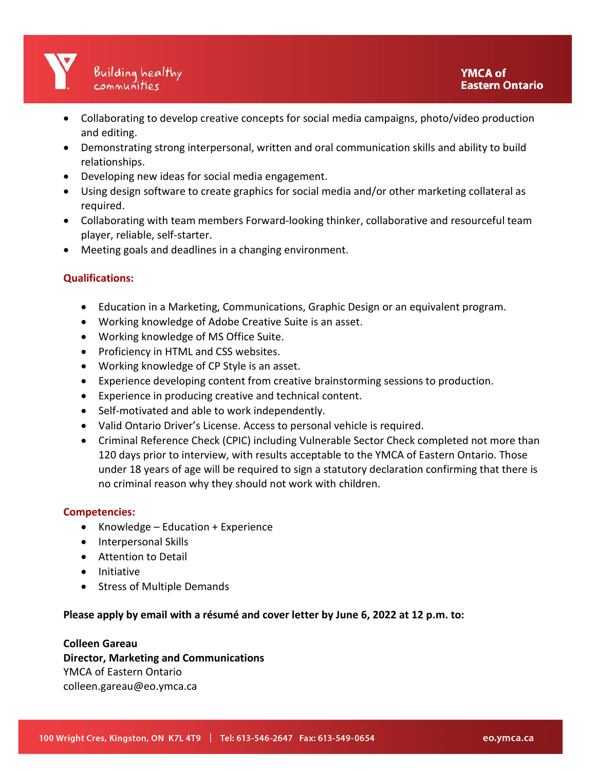- Collaborating to develop creative concepts for social media campaigns, photo/video production and editing.
- Demonstrating strong interpersonal, written and oral communication skills and ability to build relationships.
- Developing new ideas for social media engagement.
- Using design software to create graphics for social media and/or other marketing collateral as required.
- Collaborating with team members Forward-looking thinker, collaborative and resourceful team player, reliable, self-starter.
- Meeting goals and deadlines in a changing environment.

# **Qualifications:**

- Education in a Marketing, Communications, Graphic Design or an equivalent program.
- Working knowledge of Adobe Creative Suite is an asset.
- Working knowledge of MS Office Suite.
- Proficiency in HTML and CSS websites.
- Working knowledge of CP Style is an asset.
- Experience developing content from creative brainstorming sessions to production.
- Experience in producing creative and technical content.
- Self-motivated and able to work independently.
- Valid Ontario Driver's License. Access to personal vehicle is required.
- Criminal Reference Check (CPIC) including Vulnerable Sector Check completed not more than 120 days prior to interview, with results acceptable to the YMCA of Eastern Ontario. Those under 18 years of age will be required to sign a statutory declaration confirming that there is no criminal reason why they should not work with children.

# **Competencies:**

- Knowledge Education + Experience
- Interpersonal Skills
- Attention to Detail
- Initiative
- Stress of Multiple Demands

# **Please apply by email with a résumé and cover letter by June 6, 2022 at 12 p.m. to:**

## **Colleen Gareau**

**Director, Marketing and Communications** YMCA of Eastern Ontario colleen.gareau@eo.ymca.ca